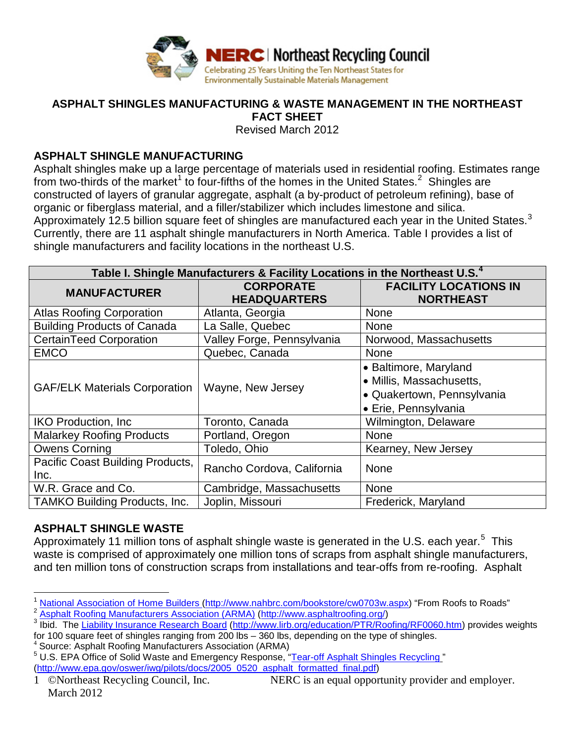

# **ASPHALT SHINGLES MANUFACTURING & WASTE MANAGEMENT IN THE NORTHEAST**

**FACT SHEET**

Revised March 2012

#### **ASPHALT SHINGLE MANUFACTURING**

Asphalt shingles make up a large percentage of materials used in residential roofing. Estimates range from two-thirds of the market<sup>[1](#page-0-0)</sup> to four-fifths of the homes in the United States.<sup>[2](#page-0-1)</sup> Shingles are constructed of layers of granular aggregate, asphalt (a by-product of petroleum refining), base of organic or fiberglass material, and a filler/stabilizer which includes limestone and silica. Approximately 12.5 billion square feet of shingles are manufactured each year in the United States. $3$ Currently, there are 11 asphalt shingle manufacturers in North America. Table I provides a list of shingle manufacturers and facility locations in the northeast U.S.

| Table I. Shingle Manufacturers & Facility Locations in the Northeast U.S. <sup>4</sup> |                                         |                                                                                                         |  |
|----------------------------------------------------------------------------------------|-----------------------------------------|---------------------------------------------------------------------------------------------------------|--|
| <b>MANUFACTURER</b>                                                                    | <b>CORPORATE</b><br><b>HEADQUARTERS</b> | <b>FACILITY LOCATIONS IN</b><br><b>NORTHEAST</b>                                                        |  |
| <b>Atlas Roofing Corporation</b>                                                       | Atlanta, Georgia                        | <b>None</b>                                                                                             |  |
| <b>Building Products of Canada</b>                                                     | La Salle, Quebec                        | <b>None</b>                                                                                             |  |
| <b>CertainTeed Corporation</b>                                                         | Valley Forge, Pennsylvania              | Norwood, Massachusetts                                                                                  |  |
| <b>EMCO</b>                                                                            | Quebec, Canada                          | None                                                                                                    |  |
| <b>GAF/ELK Materials Corporation</b>                                                   | Wayne, New Jersey                       | • Baltimore, Maryland<br>• Millis, Massachusetts,<br>· Quakertown, Pennsylvania<br>• Erie, Pennsylvania |  |
| <b>IKO Production, Inc.</b>                                                            | Toronto, Canada                         | Wilmington, Delaware                                                                                    |  |
| <b>Malarkey Roofing Products</b>                                                       | Portland, Oregon                        | <b>None</b>                                                                                             |  |
| <b>Owens Corning</b>                                                                   | Toledo, Ohio                            | Kearney, New Jersey                                                                                     |  |
| Pacific Coast Building Products,<br>Inc.                                               | Rancho Cordova, California              | <b>None</b>                                                                                             |  |
| W.R. Grace and Co.                                                                     | Cambridge, Massachusetts                | <b>None</b>                                                                                             |  |
| <b>TAMKO Building Products, Inc.</b>                                                   | Joplin, Missouri                        | Frederick, Maryland                                                                                     |  |

### **ASPHALT SHINGLE WASTE**

Approximately 11 million tons of asphalt shingle waste is generated in the U.S. each year.<sup>[5](#page-0-4)</sup> This waste is comprised of approximately one million tons of scraps from asphalt shingle manufacturers, and ten million tons of construction scraps from installations and tear-offs from re-roofing. Asphalt

for 100 square feet of shingles ranging from 200 lbs – 360 lbs, depending on the type of shingles.<br><sup>4</sup> Source: Asphalt Roofing Manufacturers Association (ARMA)

<span id="page-0-0"></span><sup>&</sup>lt;sup>1</sup> [National Association of Home Builders \(http://www.nahbrc.com/bookstore/cw0703w.aspx\)](http://www.nahbrc.com/bookstore/cw0703w.aspx) "From Roofs to Roads"<br><sup>2</sup> Asphalt Roofing Manufacturers Association (ARMA) (http://www.asphaltroofing.org/)

<span id="page-0-2"></span><span id="page-0-1"></span><sup>&</sup>lt;sup>3</sup> Ibid. The [Liability Insurance Research Board](http://www.lirb.org/education/PTR/Roofing/RF0060.htm) [\(http://www.lirb.org/education/PTR/Roofing/RF0060.htm\)](http://www.lirb.org/education/PTR/Roofing/RF0060.htm) provides weights

<span id="page-0-4"></span><span id="page-0-3"></span><sup>5</sup> U.S. EPA Office of Solid Waste and Emergency Response, ["Tear-off Asphalt Shingles Recycling](http://www.epa.gov/oswer/iwg/pilots/docs/2005_0520_asphalt_formatted_final.pdf) " [\(http://www.epa.gov/oswer/iwg/pilots/docs/2005\\_0520\\_asphalt\\_formatted\\_final.pdf\)](http://www.epa.gov/oswer/iwg/pilots/docs/2005_0520_asphalt_formatted_final.pdf)

<sup>1 ©</sup>Northeast Recycling Council, Inc. NERC is an equal opportunity provider and employer. March 2012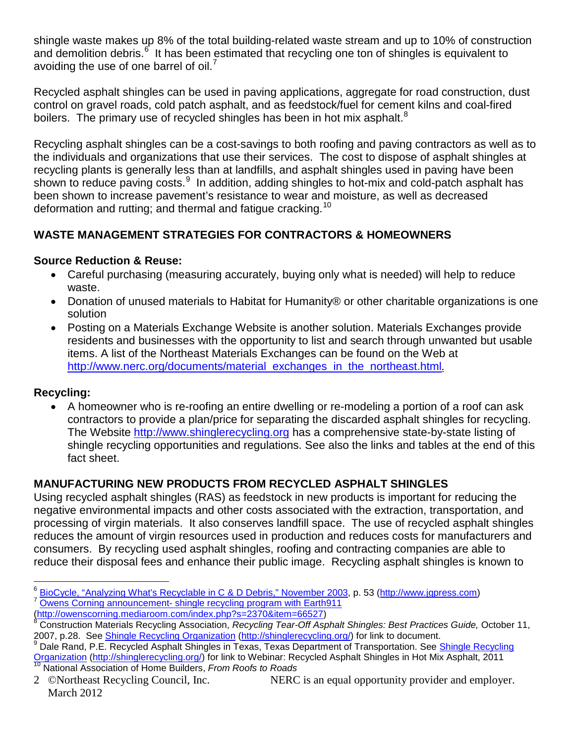shingle waste makes up 8% of the total building-related waste stream and up to 10% of construction and demolition debris.<sup>[6](#page-1-0)</sup> It has been estimated that recycling one ton of shingles is equivalent to avoiding the use of one barrel of oil. $\prime$ 

Recycled asphalt shingles can be used in paving applications, aggregate for road construction, dust control on gravel roads, cold patch asphalt, and as feedstock/fuel for cement kilns and coal-fired boilers. The primary use of recycled shingles has been in hot mix asphalt.<sup>[8](#page-1-2)</sup>

Recycling asphalt shingles can be a cost-savings to both roofing and paving contractors as well as to the individuals and organizations that use their services. The cost to dispose of asphalt shingles at recycling plants is generally less than at landfills, and asphalt shingles used in paving have been shown to reduce paving costs.<sup>[9](#page-1-3)</sup> In addition, adding shingles to hot-mix and cold-patch asphalt has been shown to increase pavement's resistance to wear and moisture, as well as decreased deformation and rutting; and thermal and fatigue cracking.<sup>[10](#page-1-4)</sup>

# **WASTE MANAGEMENT STRATEGIES FOR CONTRACTORS & HOMEOWNERS**

### **Source Reduction & Reuse:**

- Careful purchasing (measuring accurately, buying only what is needed) will help to reduce waste.
- Donation of unused materials to Habitat for Humanity® or other charitable organizations is one solution
- Posting on a Materials Exchange Website is another solution. Materials Exchanges provide residents and businesses with the opportunity to list and search through unwanted but usable items. A list of the Northeast Materials Exchanges can be found on the Web at [http://www.nerc.org/documents/material\\_exchanges\\_in\\_the\\_northeast.html](http://www.nerc.org/documents/material_exchanges_in_the_northeast.html).

## **Recycling:**

• A homeowner who is re-roofing an entire dwelling or re-modeling a portion of a roof can ask contractors to provide a plan/price for separating the discarded asphalt shingles for recycling. The Website [http://www.shinglerecycling.org](http://www.shinglerecycling.org/) has a comprehensive state-by-state listing of shingle recycling opportunities and regulations. See also the links and tables at the end of this fact sheet.

## **MANUFACTURING NEW PRODUCTS FROM RECYCLED ASPHALT SHINGLES**

Using recycled asphalt shingles (RAS) as feedstock in new products is important for reducing the negative environmental impacts and other costs associated with the extraction, transportation, and processing of virgin materials. It also conserves landfill space. The use of recycled asphalt shingles reduces the amount of virgin resources used in production and reduces costs for manufacturers and consumers. By recycling used asphalt shingles, roofing and contracting companies are able to reduce their disposal fees and enhance their public image. Recycling asphalt shingles is known to

<span id="page-1-1"></span><span id="page-1-0"></span><sup>&</sup>lt;sup>6</sup> BioCycle, "Analyzing What's Recyclable in C & D Debris," November 2003, p. 53 [\(http://www.jgpress.com\)](http://www.jgpress.com/)<br><sup>7</sup> Owens Corning announcement- shingle recycling program with Earth911<br>(http://owenscorning.mediaroom.com/index.p

<span id="page-1-2"></span><sup>&</sup>lt;sup>[8](http://owenscorning.mediaroom.com/index.php?s=2370&item=66527)</sup> Construction Materials Recycling Association, *Recycling Tear-Off Asphalt Shingles: Best Practices Guide, October 11,* 2007, p.28. See [Shingle Recycling Organization](http://shinglerecycling.org/) [\(http://shinglerecycling.org/\)](http://shinglerecycling.org/) for link to document.

<span id="page-1-3"></span><sup>&</sup>lt;sup>9</sup> Dale Rand, P.E. Recycled Asphalt Shingles in Texas, Texas Department of Transportation. See Shingle Recycling <mark>[Organization](http://www.shinglerecycling.org/) (http://shinglerecycling.org/</mark>) for link to Webinar: Recycled Asphalt Shingles in Hot Mix Asphalt, 2011<br><sup>10</sup> National Association of Home Builders, *From Roofs to Roads* 

<span id="page-1-4"></span><sup>2 ©</sup>Northeast Recycling Council, Inc. NERC is an equal opportunity provider and employer. March 2012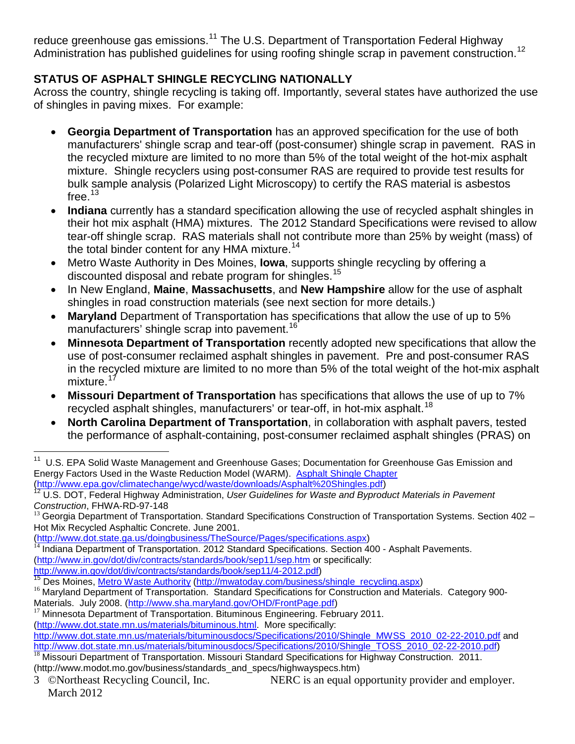reduce greenhouse gas emissions.<sup>[11](#page-2-0)</sup> The U.S. Department of Transportation Federal Highway Administration has published guidelines for using roofing shingle scrap in pavement construction.<sup>[12](#page-2-1)</sup>

# **STATUS OF ASPHALT SHINGLE RECYCLING NATIONALLY**

Across the country, shingle recycling is taking off. Importantly, several states have authorized the use of shingles in paving mixes. For example:

- **Georgia Department of Transportation** has an approved specification for the use of both manufacturers' shingle scrap and tear-off (post-consumer) shingle scrap in pavement. RAS in the recycled mixture are limited to no more than 5% of the total weight of the hot-mix asphalt mixture. Shingle recyclers using post-consumer RAS are required to provide test results for bulk sample analysis (Polarized Light Microscopy) to certify the RAS material is asbestos free. $13$
- **Indiana** currently has a standard specification allowing the use of recycled asphalt shingles in their hot mix asphalt (HMA) mixtures. The 2012 Standard Specifications were revised to allow tear-off shingle scrap. RAS materials shall not contribute more than 25% by weight (mass) of the total binder content for any HMA mixture.<sup>[14](#page-2-3)</sup>
- Metro Waste Authority in Des Moines, **Iowa**, supports shingle recycling by offering a discounted disposal and rebate program for shingles.<sup>[15](#page-2-4)</sup>
- In New England, **Maine**, **Massachusetts**, and **New Hampshire** allow for the use of asphalt shingles in road construction materials (see next section for more details.)
- **Maryland** Department of Transportation has specifications that allow the use of up to 5% manufacturers' shingle scrap into pavement.<sup>1</sup>
- **Minnesota Department of Transportation** recently adopted new specifications that allow the use of post-consumer reclaimed asphalt shingles in pavement. Pre and post-consumer RAS in the recycled mixture are limited to no more than 5% of the total weight of the hot-mix asphalt mixture.<sup>[17](#page-2-6)</sup>
- **Missouri Department of Transportation** has specifications that allows the use of up to 7% recycled asphalt shingles, manufacturers' or tear-off, in hot-mix asphalt.<sup>[18](#page-2-7)</sup>
- **North Carolina Department of Transportation**, in collaboration with asphalt pavers, tested the performance of asphalt-containing, post-consumer reclaimed asphalt shingles (PRAS) on

<span id="page-2-6"></span>

[\(http://www.dot.state.mn.us/materials/bituminous.html.](http://www.dot.state.mn.us/materials/bituminous.html) More specifically:

<span id="page-2-0"></span><sup>&</sup>lt;sup>11</sup> U.S. EPA Solid Waste Management and Greenhouse Gases; Documentation for Greenhouse Gas Emission and Energy Factors Used in the Waste Reduction Model (WARM). [Asphalt Shingle Chapter](http://www.epa.gov/climatechange/wycd/waste/downloads/Asphalt%20Shingles.pdf)

<span id="page-2-1"></span>[<sup>\(</sup>http://www.epa.gov/climatechange/wycd/waste/downloads/Asphalt%20Shingles.pdf\)](http://www.epa.gov/climatechange/wycd/waste/downloads/Asphalt%20Shingles.pdf)<br><sup>[12](http://www.epa.gov/climatechange/wycd/waste/downloads/Asphalt%20Shingles.pdf)</sup> U.S. DOT, Federal Highway Administration, *User Guidelines for Waste and Byproduct Materials in Pavement*<br>Construction, FHWA-RD-97-148

<span id="page-2-2"></span><sup>&</sup>lt;sup>13</sup> Georgia Department of Transportation. Standard Specifications Construction of Transportation Systems. Section 402 – Hot Mix Recycled Asphaltic Concrete. June 2001.<br>(http://www.dot.state.ga.us/doingbusiness/TheSource/Pages/specifications.aspx)

<span id="page-2-3"></span><sup>&</sup>lt;sup>14</sup> Indiana Department of Transportation. 2012 Standard Specifications. Section 400 - Asphalt Pavements. [\(http://www.in.gov/dot/div/contracts/standards/book/sep11/sep.htm](http://www.in.gov/dot/div/contracts/standards/book/sep11/sep.htm) or specifically:<br>http://www.in.gov/dot/div/contracts/standards/book/sep11/4-2012.pdf)<br><sup>15</sup> Des Maines Maturali

<span id="page-2-5"></span><span id="page-2-4"></span><sup>&</sup>lt;sup>15</sup> Des Moines, <u>[Metro Waste Authority](http://mwatoday.com/business/shingle_recycling.aspx) [\(http://mwatoday.com/business/shingle\\_recycling.aspx\)](http://mwatoday.com/business/shingle_recycling.aspx)</u><br><sup>16</sup> Maryland Department of Transportation. Standard Specifications for Construction and Materials. Category 900-Materials. July 2008. [\(http://www.sha.maryland.gov/OHD/FrontPage.pdf\)](http://www.sha.maryland.gov/OHD/FrontPage.pdf)<br><sup>17</sup> Minnesota Department of Transportation. Bituminous Engineering. February 2011.

[http://www.dot.state.mn.us/materials/bituminousdocs/Specifications/2010/Shingle\\_MWSS\\_2010\\_02-22-2010.pdf](http://www.dot.state.mn.us/materials/bituminousdocs/Specifications/2010/Shingle_MWSS_2010_02-22-2010.pdf) and<br>http://www.dot.state.mn.us/materials/bituminousdocs/Specifications/2010/Shingle\_TOSS\_2010\_02-22-2010.pdf)

<span id="page-2-7"></span> $\frac{18}{18}$  Missouri Department of Transportation. Missouri Standard Specifications for Highway Construction. 2011. (http://www.modot.mo.gov/business/standards\_and\_specs/highwayspecs.htm)

<sup>3 ©</sup>Northeast Recycling Council, Inc. NERC is an equal opportunity provider and employer. March 2012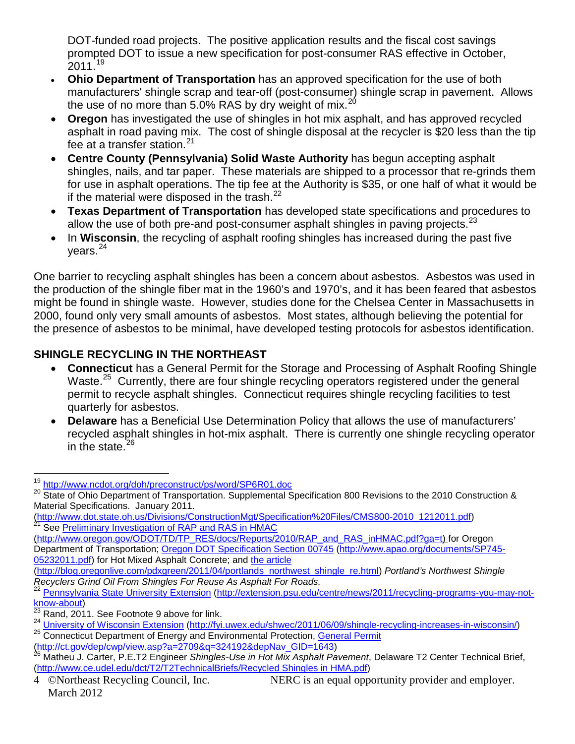DOT-funded road projects. The positive application results and the fiscal cost savings prompted DOT to issue a new specification for post-consumer RAS effective in October, 2011.<sup>[19](#page-3-0)</sup>

- **Ohio Department of Transportation** has an approved specification for the use of both manufacturers' shingle scrap and tear-off (post-consumer) shingle scrap in pavement. Allows the use of no more than 5.0% RAS by dry weight of mix. $^{20}$  $^{20}$  $^{20}$
- **Oregon** has investigated the use of shingles in hot mix asphalt, and has approved recycled asphalt in road paving mix. The cost of shingle disposal at the recycler is \$20 less than the tip fee at a transfer station. $21$
- **Centre County (Pennsylvania) Solid Waste Authority** has begun accepting asphalt shingles, nails, and tar paper. These materials are shipped to a processor that re-grinds them for use in asphalt operations. The tip fee at the Authority is \$35, or one half of what it would be if the material were disposed in the trash. $^{22}$  $^{22}$  $^{22}$
- **Texas Department of Transportation** has developed state specifications and procedures to allow the use of both pre-and post-consumer asphalt shingles in paving projects. $^{23}$  $^{23}$  $^{23}$
- In **Wisconsin**, the recycling of asphalt roofing shingles has increased during the past five vears. $24$

One barrier to recycling asphalt shingles has been a concern about asbestos. Asbestos was used in the production of the shingle fiber mat in the 1960's and 1970's, and it has been feared that asbestos might be found in shingle waste. However, studies done for the Chelsea Center in Massachusetts in 2000, found only very small amounts of asbestos. Most states, although believing the potential for the presence of asbestos to be minimal, have developed testing protocols for asbestos identification.

# **SHINGLE RECYCLING IN THE NORTHEAST**

- **Connecticut** has a General Permit for the Storage and Processing of Asphalt Roofing Shingle Waste.<sup>25</sup> Currently, there are four shingle recycling operators registered under the general permit to recycle asphalt shingles. Connecticut requires shingle recycling facilities to test quarterly for asbestos.
- **Delaware** has a Beneficial Use Determination Policy that allows the use of manufacturers' recycled asphalt shingles in hot-mix asphalt. There is currently one shingle recycling operator in the state. $26$

<span id="page-3-1"></span><span id="page-3-0"></span><sup>&</sup>lt;sup>19</sup> <http://www.ncdot.org/doh/preconstruct/ps/word/SP6R01.doc><br><sup>20</sup> State of Ohio Department of Transportation. Supplemental Specification 800 Revisions to the 2010 Construction & Material Specifications. January 2011.

[<sup>\(</sup>http://www.dot.state.oh.us/Divisions/ConstructionMgt/Specification%20Files/CMS800-2010\\_1212011.pdf\)](http://www.dot.state.oh.us/Divisions/ConstructionMgt/Specification%20Files/CMS800-2010_1212011.pdf)<br><sup>21</sup> See Preliminary Investigation of RAP <u>and RAS in HMAC</u>

<span id="page-3-2"></span>[<sup>\(</sup>http://www.oregon.gov/ODOT/TD/TP\\_RES/docs/Reports/2010/RAP\\_and\\_RAS\\_inHMAC.pdf?ga=t\)](http://www.oregon.gov/ODOT/TD/TP_RES/docs/Reports/2010/RAP_and_RAS_inHMAC.pdf?ga=t) for Oregon Department of Transportation; [Oregon DOT Specification Section 00745](http://www.apao.org/documents/SP745-05232011.pdf) [\(http://www.apao.org/documents/SP745-](http://www.apao.org/documents/SP745-05232011.pdf) [05232011.pdf\)](http://www.apao.org/documents/SP745-05232011.pdf) for Hot Mixed Asphalt Concrete; and [the article](http://blog.oregonlive.com/pdxgreen/2011/04/portlands_northwest_shingle_re.html)

[<sup>\(</sup>http://blog.oregonlive.com/pdxgreen/2011/04/portlands\\_northwest\\_shingle\\_re.html\)](http://blog.oregonlive.com/pdxgreen/2011/04/portlands_northwest_shingle_re.html) *Portland's Northwest Shingle* 

<span id="page-3-3"></span><sup>&</sup>lt;sup>22</sup> [Pennsylvania State University Extension](http://extension.psu.edu/centre/news/2011/recycling-programs-you-may-not-know-about) (http://extension.psu.edu/centre/news/2011/recycling-programs-you-may-not-<br>know-about)<br><sup>23</sup> Bend 2011, See Festivate California

Rand, 2011. See Footnote 9 above for link.

<span id="page-3-6"></span><span id="page-3-5"></span><span id="page-3-4"></span><sup>24</sup> University of Wisconsin Extension [\(http://fyi.uwex.edu/shwec/2011/06/09/shingle-recycling-increases-in-wisconsin/\)](http://fyi.uwex.edu/shwec/2011/06/09/shingle-recycling-increases-in-wisconsin/)<br>25 Connecticut Department of Energy and Environmental Protection, [General Permit](http://ct.gov/dep/cwp/view.asp?a=2709&q=324192&depNav_GID=1643)<br>(http://ct.gov/dep/cwp/

<span id="page-3-7"></span><sup>&</sup>lt;sup>26</sup> Matheu J. Carter, P.E.T2 Engineer *Shingles-Use in Hot Mix Asphalt Pavement*, Delaware T2 Center Technical Brief, [\(http://www.ce.udel.edu/dct/T2/T2TechnicalBriefs/Recycled Shingles in HMA.pdf\)](http://www.ce.udel.edu/dct/T2/T2TechnicalBriefs/Recycled%20Shingles%20in%20HMA.pdf)

<sup>4 ©</sup>Northeast Recycling Council, Inc. NERC is an equal opportunity provider and employer. March 2012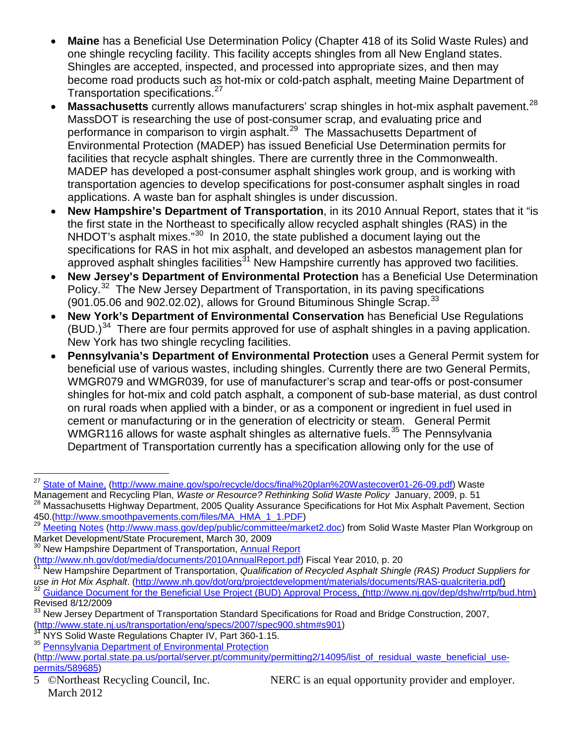- **Maine** has a Beneficial Use Determination Policy (Chapter 418 of its Solid Waste Rules) and one shingle recycling facility. This facility accepts shingles from all New England states. Shingles are accepted, inspected, and processed into appropriate sizes, and then may become road products such as hot-mix or cold-patch asphalt, meeting Maine Department of Transportation specifications.<sup>[27](#page-4-0)</sup>
- **Massachusetts** currently allows manufacturers' scrap shingles in hot-mix asphalt pavement. [28](#page-4-1) MassDOT is researching the use of post-consumer scrap, and evaluating price and performance in comparison to virgin asphalt.<sup>29</sup> The Massachusetts Department of Environmental Protection (MADEP) has issued Beneficial Use Determination permits for facilities that recycle asphalt shingles. There are currently three in the Commonwealth. MADEP has developed a post-consumer asphalt shingles work group, and is working with transportation agencies to develop specifications for post-consumer asphalt singles in road applications. A waste ban for asphalt shingles is under discussion.
- **New Hampshire's Department of Transportation**, in its 2010 Annual Report, states that it "is the first state in the Northeast to specifically allow recycled asphalt shingles (RAS) in the NHDOT's asphalt mixes."<sup>30</sup> In 2010, the state published a document laying out the specifications for RAS in hot mix asphalt, and developed an asbestos management plan for approved asphalt shingles facilities $31$  New Hampshire currently has approved two facilities.
- **New Jersey's Department of Environmental Protection** has a Beneficial Use Determination Policy.<sup>32</sup> The New Jersey Department of Transportation, in its paving specifications  $(901.05.06$  and  $902.02.02)$ , allows for Ground Bituminous Shingle Scrap.<sup>[33](#page-4-6)</sup>
- **New York's Department of Environmental Conservation** has Beneficial Use Regulations  $(BUD.)^{34}$  $(BUD.)^{34}$  $(BUD.)^{34}$  There are four permits approved for use of asphalt shingles in a paving application. New York has two shingle recycling facilities.
- **Pennsylvania's Department of Environmental Protection** uses a General Permit system for beneficial use of various wastes, including shingles. Currently there are two General Permits, WMGR079 and WMGR039, for use of manufacturer's scrap and tear-offs or post-consumer shingles for hot-mix and cold patch asphalt, a component of sub-base material, as dust control on rural roads when applied with a binder, or as a component or ingredient in fuel used in cement or manufacturing or in the generation of electricity or steam. General Permit WMGR116 allows for waste asphalt shingles as alternative fuels.<sup>[35](#page-4-8)</sup> The Pennsylvania Department of Transportation currently has a specification allowing only for the use of

<span id="page-4-0"></span><sup>&</sup>lt;sup>27</sup> [State of Maine,](http://www.maine.gov/spo/recycle/docs/final%20plan%20Wastecover01-26-09.pdf) [\(http://www.maine.gov/spo/recycle/docs/final%20plan%20Wastecover01-26-09.pdf\)](http://www.maine.gov/spo/recycle/docs/final%20plan%20Wastecover01-26-09.pdf) Waste<br>Management and Recycling Plan, *Waste or Resource? Rethinking Solid Waste Policy January, 2009, p. 51* 

<span id="page-4-1"></span><sup>&</sup>lt;sup>28</sup> Massachusetts Highway Department, 2005 Quality Assurance Specifications for Hot Mix Asphalt Pavement, Section<br>450.(<u>http://www.smoothpavements.com/files/MA\_HMA\_1\_1.PDF)</u>

<span id="page-4-2"></span>[Meeting Notes](http://www.mass.gov/dep/public/committee/market2.doc) [\(http://www.mass.gov/dep/public/committee/market2.doc\)](http://www.mass.gov/dep/public/committee/market2.doc) from Solid Waste Master Plan Workgroup on Market Development/State Procurement, March 30, 2009

New Hampshire Department of Transportation, [Annual Report](http://www.nh.gov/dot/media/documents/2010AnnualReport.pdf)

<span id="page-4-4"></span>

<span id="page-4-3"></span>[<sup>\(</sup>http://www.nh.gov/dot/media/documents/2010AnnualReport.pdf\)](http://www.nh.gov/dot/media/documents/2010AnnualReport.pdf) Fiscal Year 2010, p. 20 <sup>31</sup> New Hampshire Department of Transportation, *Qualification of Recycled Asphalt Shingle (RAS) Product Suppliers for*  use in Hot Mix Asphalt. [\(http://www.nh.gov/dot/org/projectdevelopment/materials/documents/RAS-qualcriteria.pdf\)](http://www.nh.gov/dot/org/projectdevelopment/materials/documents/RAS-qualcriteria.pdf)<br><sup>32</sup> Guidance Document for the Beneficial Use <u>Project (BUD) Approval Process, (http://www.nj.gov/dep/dshw/rrt</u> Revised 8/12/2009

<span id="page-4-6"></span><span id="page-4-5"></span><sup>33</sup> New Jersey Department of Transportation Standard Specifications for Road and Bridge Construction, 2007, [\(http://www.state.nj.us/transportation/eng/specs/2007/spec900.shtm#s901\)](http://www.state.nj.us/transportation/eng/specs/2007/spec900.shtm#s901) <sup>34</sup> NYS Solid Waste Regulations Chapter IV, Part 360-1.15.

<span id="page-4-7"></span>

<span id="page-4-8"></span><sup>35</sup> [Pennsylvania Department of Environmental Protection](http://www.portal.state.pa.us/portal/server.pt/community/permitting2/14095/list_of_residual_waste_beneficial_use-permits/589685)

[<sup>\(</sup>http://www.portal.state.pa.us/portal/server.pt/community/permitting2/14095/list\\_of\\_residual\\_waste\\_beneficial\\_use](http://www.portal.state.pa.us/portal/server.pt/community/permitting2/14095/list_of_residual_waste_beneficial_use-permits/589685)[permits/589685\)](http://www.portal.state.pa.us/portal/server.pt/community/permitting2/14095/list_of_residual_waste_beneficial_use-permits/589685)

March 2012

<sup>5 ©</sup>Northeast Recycling Council, Inc. NERC is an equal opportunity provider and employer.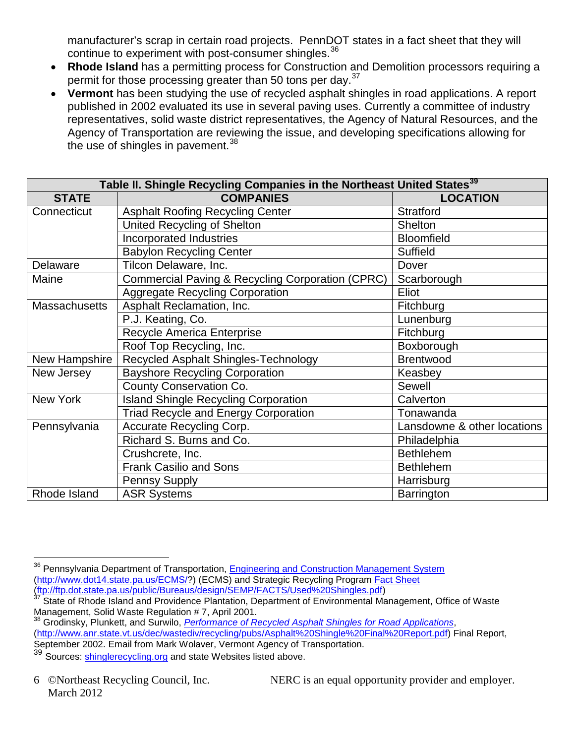manufacturer's scrap in certain road projects. PennDOT states in a fact sheet that they will continue to experiment with post-consumer shingles.<sup>[36](#page-5-0)</sup>

- **Rhode Island** has a permitting process for Construction and Demolition processors requiring a permit for those processing greater than 50 tons per day.<sup>[37](#page-5-1)</sup>
- **Vermont** has been studying the use of recycled asphalt shingles in road applications. A report published in 2002 evaluated its use in several paving uses. Currently a committee of industry representatives, solid waste district representatives, the Agency of Natural Resources, and the Agency of Transportation are reviewing the issue, and developing specifications allowing for the use of shingles in pavement.<sup>[38](#page-5-2)</sup>

| Table II. Shingle Recycling Companies in the Northeast United States <sup>39</sup> |                                                             |                             |  |
|------------------------------------------------------------------------------------|-------------------------------------------------------------|-----------------------------|--|
| <b>STATE</b>                                                                       | <b>COMPANIES</b>                                            | <b>LOCATION</b>             |  |
| Connecticut                                                                        | <b>Asphalt Roofing Recycling Center</b>                     | <b>Stratford</b>            |  |
|                                                                                    | United Recycling of Shelton                                 | <b>Shelton</b>              |  |
|                                                                                    | <b>Incorporated Industries</b>                              | <b>Bloomfield</b>           |  |
|                                                                                    | <b>Babylon Recycling Center</b>                             | <b>Suffield</b>             |  |
| Delaware                                                                           | Tilcon Delaware, Inc.                                       | Dover                       |  |
| Maine                                                                              | <b>Commercial Paving &amp; Recycling Corporation (CPRC)</b> | Scarborough                 |  |
|                                                                                    | <b>Aggregate Recycling Corporation</b>                      | Eliot                       |  |
| <b>Massachusetts</b>                                                               | Asphalt Reclamation, Inc.                                   | Fitchburg                   |  |
|                                                                                    | P.J. Keating, Co.                                           | Lunenburg                   |  |
|                                                                                    | Recycle America Enterprise                                  | Fitchburg                   |  |
|                                                                                    | Roof Top Recycling, Inc.                                    | Boxborough                  |  |
| New Hampshire                                                                      | Recycled Asphalt Shingles-Technology                        | <b>Brentwood</b>            |  |
| New Jersey                                                                         | <b>Bayshore Recycling Corporation</b>                       | Keasbey                     |  |
|                                                                                    | County Conservation Co.                                     | Sewell                      |  |
| <b>New York</b>                                                                    | <b>Island Shingle Recycling Corporation</b>                 | Calverton                   |  |
|                                                                                    | <b>Triad Recycle and Energy Corporation</b>                 | Tonawanda                   |  |
| Pennsylvania                                                                       | Accurate Recycling Corp.                                    | Lansdowne & other locations |  |
|                                                                                    | Richard S. Burns and Co.                                    | Philadelphia                |  |
|                                                                                    | Crushcrete, Inc.                                            | <b>Bethlehem</b>            |  |
|                                                                                    | <b>Frank Casilio and Sons</b>                               | <b>Bethlehem</b>            |  |
|                                                                                    | <b>Pennsy Supply</b>                                        | Harrisburg                  |  |
| Rhode Island                                                                       | <b>ASR Systems</b>                                          | Barrington                  |  |

6 ©Northeast Recycling Council, Inc. NERC is an equal opportunity provider and employer.

<span id="page-5-0"></span><sup>&</sup>lt;sup>36</sup> Pennsylvania Department of Transportation, *[Engineering and Construction Management System](http://www.dot14.state.pa.us/ECMS/)* [\(http://www.dot14.state.pa.us/ECMS/?](http://www.dot14.state.pa.us/ECMS/)) (ECMS) and Strategic Recycling Program [Fact Sheet](ftp://ftp.dot.state.pa.us/public/Bureaus/design/SEMP/FACTS/Used Shingles.pdf) [\(ftp://ftp.dot.state.pa.us/public/Bureaus/design/SEMP/FACTS/Used%20Shingles.pdf\)](ftp://ftp.dot.state.pa.us/public/Bureaus/design/SEMP/FACTS/Used Shingles.pdf) [37](ftp://ftp.dot.state.pa.us/public/Bureaus/design/SEMP/FACTS/Used Shingles.pdf) State of Rhode Island and Providence Plantation, Department of Environmental Management, Office of Waste

<span id="page-5-1"></span>Management, Solid Waste Regulation # 7, April 2001.

<span id="page-5-2"></span><sup>38</sup> Grodinsky, Plunkett, and Surwilo, *[Performance of Recycled Asphalt Shingles for Road Applications](http://www.anr.state.vt.us/dec/wastediv/recycling/pugs/Asphalt%20Shingle%20Final%20Report.pdf)*, [\(http://www.anr.state.vt.us/dec/wastediv/recycling/pubs/Asphalt%20Shingle%20Final%20Report.pdf\)](http://www.anr.state.vt.us/dec/wastediv/recycling/pubs/Asphalt%20Shingle%20Final%20Report.pdf) Final Report, September 2002. Email from Mark Wolaver, Vermont Agency of Transportation.

<span id="page-5-3"></span>Sources: shinglerecycling.org and state Websites listed above.

March 2012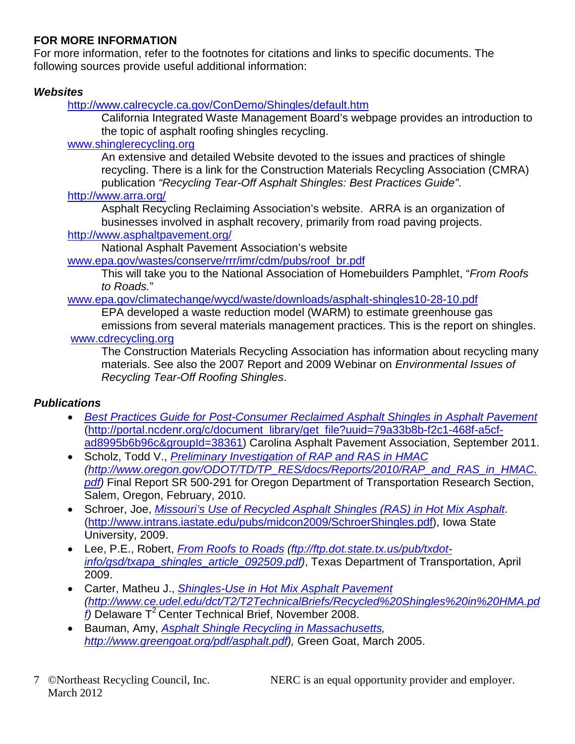### **FOR MORE INFORMATION**

For more information, refer to the footnotes for citations and links to specific documents. The following sources provide useful additional information:

### *Websites*

<http://www.calrecycle.ca.gov/ConDemo/Shingles/default.htm>

California Integrated Waste Management Board's webpage provides an introduction to the topic of asphalt roofing shingles recycling.

### [www.shinglerecycling.org](http://www.shinglerecycling.org/)

An extensive and detailed Website devoted to the issues and practices of shingle recycling. There is a link for the Construction Materials Recycling Association (CMRA) publication *"Recycling Tear-Off Asphalt Shingles: Best Practices Guide"*.

#### <http://www.arra.org/>

Asphalt Recycling Reclaiming Association's website. ARRA is an organization of businesses involved in asphalt recovery, primarily from road paving projects.

#### <http://www.asphaltpavement.org/>

National Asphalt Pavement Association's website

[www.epa.gov/wastes/conserve/rrr/imr/cdm/pubs/roof\\_br.pdf](http://www.epa.gov/wastes/conserve/rrr/imr/cdm/pubs/roof_br.pdf)

This will take you to the National Association of Homebuilders Pamphlet, "*From Roofs to Roads.*"

#### [www.epa.gov/climatechange/wycd/waste/downloads/asphalt-shingles10-28-10.pdf](http://www.epa.gov/climatechange/wycd/waste/downloads/asphalt-shingles10-28-10.pdf)

EPA developed a waste reduction model (WARM) to estimate greenhouse gas emissions from several materials management practices. This is the report on shingles. [www.cdrecycling.org](http://www.cdrecycling.org/)

The Construction Materials Recycling Association has information about recycling many materials. See also the 2007 Report and 2009 Webinar on *Environmental Issues of Recycling Tear-Off Roofing Shingles*.

### *Publications*

- *[Best Practices Guide for Post-Consumer Reclaimed Asphalt Shingles in Asphalt Pavement](http://portal.ncdenr.org/c/document_library/get_file?uuid=79a33b8b-f2c1-468f-a5cf-ad8995b6b96c&groupId=38361)* [\(http://portal.ncdenr.org/c/document\\_library/get\\_file?uuid=79a33b8b-f2c1-468f-a5cf](http://portal.ncdenr.org/c/document_library/get_file?uuid=79a33b8b-f2c1-468f-a5cf-ad8995b6b96c&groupId=38361)[ad8995b6b96c&groupId=38361\)](http://portal.ncdenr.org/c/document_library/get_file?uuid=79a33b8b-f2c1-468f-a5cf-ad8995b6b96c&groupId=38361) Carolina Asphalt Pavement Association, September 2011.
- Scholz, Todd V., *[Preliminary Investigation of RAP and RAS in HMAC](http://www.oregon.gov/ODOT/TD/TP_RES/docs/Reports/2010/RAP_and_RAS_in_HMAC.pdf) [\(http://www.oregon.gov/ODOT/TD/TP\\_RES/docs/Reports/2010/RAP\\_and\\_RAS\\_in\\_HMAC.](http://www.oregon.gov/ODOT/TD/TP_RES/docs/Reports/2010/RAP_and_RAS_in_HMAC.pdf) [pdf\)](http://www.oregon.gov/ODOT/TD/TP_RES/docs/Reports/2010/RAP_and_RAS_in_HMAC.pdf)* Final Report SR 500-291 for Oregon Department of Transportation Research Section, Salem, Oregon, February, 2010.
- Schroer, Joe, *[Missouri's Use of Recycled Asphalt Shingles \(RAS\) in Hot Mix Asphalt](http://www.intrans.iastate.edu/pubs/midcon2009/SchroerShingles.pdf)*. [\(http://www.intrans.iastate.edu/pubs/midcon2009/SchroerShingles.pdf\)](http://www.intrans.iastate.edu/pubs/midcon2009/SchroerShingles.pdf), Iowa State University, 2009.
- Lee, P.E., Robert, *[From Roofs to Roads](ftp://ftp.dot.state.tx.us/pub/txdot-info/gsd/txapa_shingles_article_092509.pdf) [\(ftp://ftp.dot.state.tx.us/pub/txdot](ftp://ftp.dot.state.tx.us/pub/txdot-info/gsd/txapa_shingles_article_092509.pdf)[info/gsd/txapa\\_shingles\\_article\\_092509.pdf\)](ftp://ftp.dot.state.tx.us/pub/txdot-info/gsd/txapa_shingles_article_092509.pdf)*, Texas Department of Transportation, April 2009.
- Carter, Matheu J., *[Shingles-Use in Hot Mix Asphalt Pavement](http://www.ce.udel.edu/dct/T2/T2TechnicalBriefs/Recycled%20Shingles%20in%20HMA.pdf) [\(http://www.ce.udel.edu/dct/T2/T2TechnicalBriefs/Recycled%20Shingles%20in%20HMA.pd](http://www.ce.udel.edu/dct/T2/T2TechnicalBriefs/Recycled%20Shingles%20in%20HMA.pdf) [f\)](http://www.ce.udel.edu/dct/T2/T2TechnicalBriefs/Recycled%20Shingles%20in%20HMA.pdf)* Delaware T2 Center Technical Brief, November 2008.
- Bauman, Amy, *[Asphalt Shingle Recycling in Massachusetts,](http://www.greengoat.org/pdf/asphalt.pdf) [http://www.greengoat.org/pdf/asphalt.pdf\)](http://www.greengoat.org/pdf/asphalt.pdf),* Green Goat, March 2005.
- March 2012

7 ©Northeast Recycling Council, Inc. NERC is an equal opportunity provider and employer.